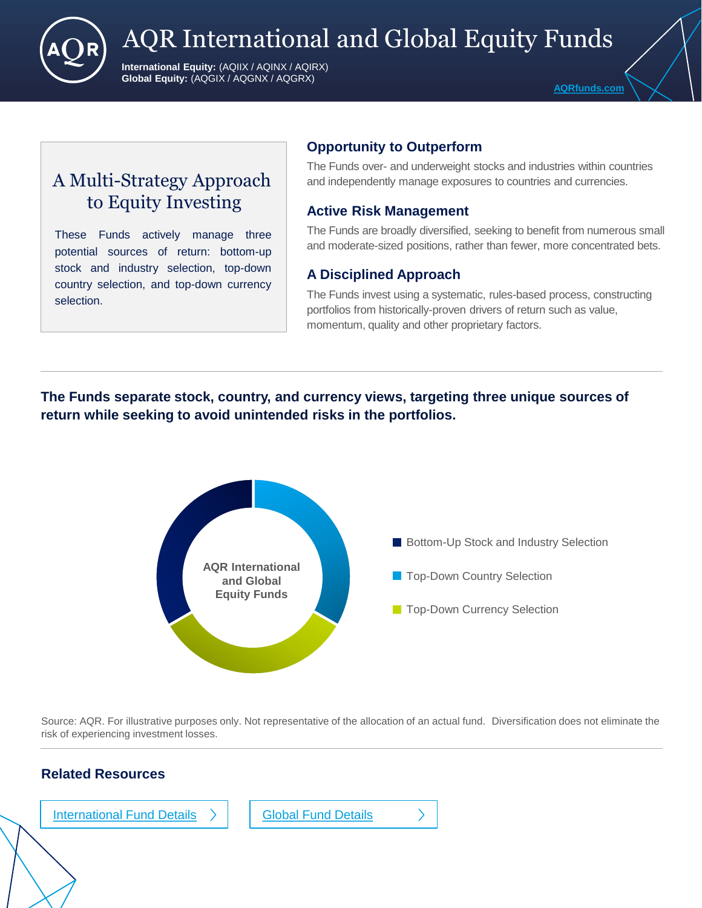

# AQR International and Global Equity Funds

**International Equity:** (AQIIX / AQINX / AQIRX) **Global Equity:** (AQGIX / AQGNX / AQGRX)

## A Multi-Strategy Approach to Equity Investing

These Funds actively manage three potential sources of return: bottom-up stock and industry selection, top-down country selection, and top-down currency selection.

### **Opportunity to Outperform**

The Funds over- and underweight stocks and industries within countries and independently manage exposures to countries and currencies.

### **Active Risk Management**

The Funds are broadly diversified, seeking to benefit from numerous small and moderate-sized positions, rather than fewer, more concentrated bets.

### **A Disciplined Approach**

The Funds invest using a systematic, rules-based process, constructing portfolios from historically-proven drivers of return such as value, momentum, quality and other proprietary factors.

### **The Funds separate stock, country, and currency views, targeting three unique sources of return while seeking to avoid unintended risks in the portfolios.**



Source: AQR. For illustrative purposes only. Not representative of the allocation of an actual fund. Diversification does not eliminate the risk of experiencing investment losses.

### **Related Resources**